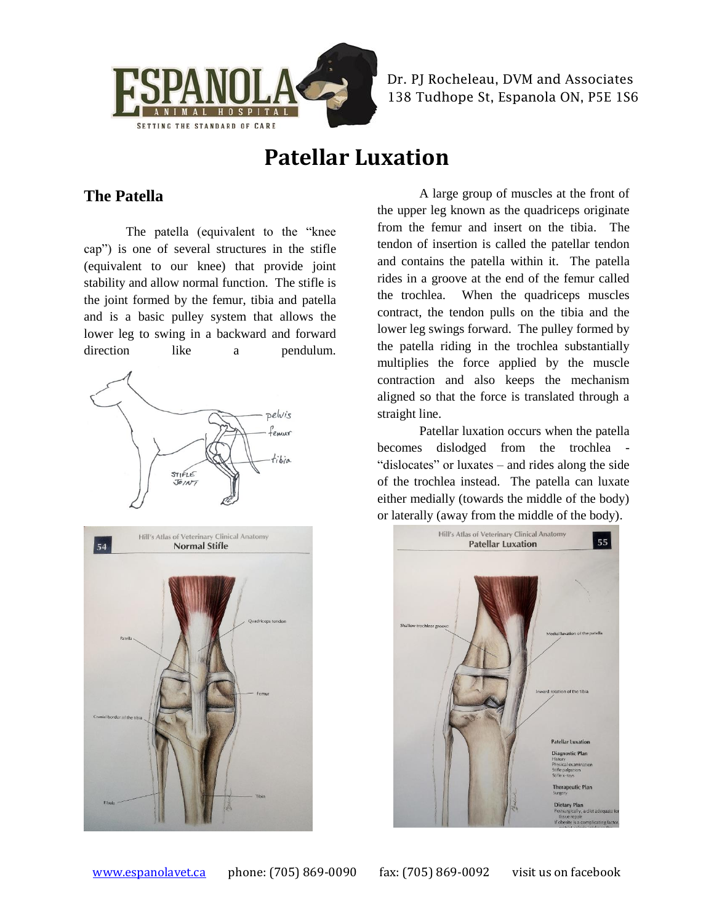

Dr. PJ Rocheleau, DVM and Associates 138 Tudhope St, Espanola ON, P5E 1S6

# **Patellar Luxation**

### **The Patella**

The patella (equivalent to the "knee cap") is one of several structures in the stifle (equivalent to our knee) that provide joint stability and allow normal function. The stifle is the joint formed by the femur, tibia and patella and is a basic pulley system that allows the lower leg to swing in a backward and forward direction like a pendulum.



A large group of muscles at the front of the upper leg known as the quadriceps originate from the femur and insert on the tibia. The tendon of insertion is called the patellar tendon and contains the patella within it. The patella rides in a groove at the end of the femur called the trochlea. When the quadriceps muscles contract, the tendon pulls on the tibia and the lower leg swings forward. The pulley formed by the patella riding in the trochlea substantially multiplies the force applied by the muscle contraction and also keeps the mechanism aligned so that the force is translated through a straight line.

Patellar luxation occurs when the patella becomes dislodged from the trochlea - "dislocates" or luxates – and rides along the side of the trochlea instead. The patella can luxate either medially (towards the middle of the body) or laterally (away from the middle of the body).

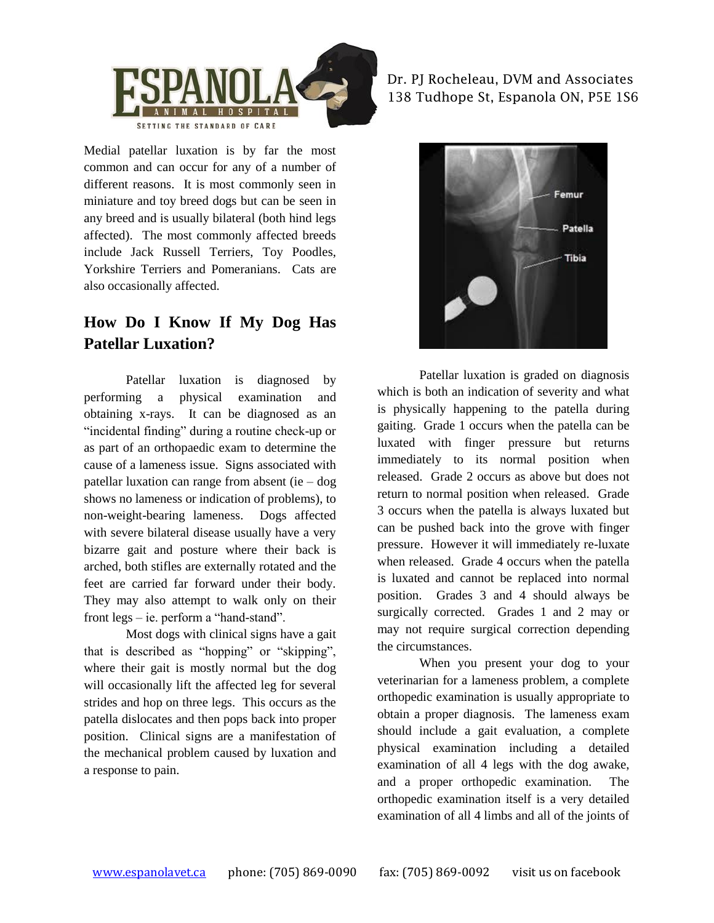

Medial patellar luxation is by far the most common and can occur for any of a number of different reasons. It is most commonly seen in miniature and toy breed dogs but can be seen in any breed and is usually bilateral (both hind legs affected). The most commonly affected breeds include Jack Russell Terriers, Toy Poodles, Yorkshire Terriers and Pomeranians. Cats are also occasionally affected.

### **How Do I Know If My Dog Has Patellar Luxation?**

Patellar luxation is diagnosed by performing a physical examination and obtaining x-rays. It can be diagnosed as an "incidental finding" during a routine check-up or as part of an orthopaedic exam to determine the cause of a lameness issue. Signs associated with patellar luxation can range from absent (ie – dog shows no lameness or indication of problems), to non-weight-bearing lameness. Dogs affected with severe bilateral disease usually have a very bizarre gait and posture where their back is arched, both stifles are externally rotated and the feet are carried far forward under their body. They may also attempt to walk only on their front legs – ie. perform a "hand-stand".

Most dogs with clinical signs have a gait that is described as "hopping" or "skipping", where their gait is mostly normal but the dog will occasionally lift the affected leg for several strides and hop on three legs. This occurs as the patella dislocates and then pops back into proper position. Clinical signs are a manifestation of the mechanical problem caused by luxation and a response to pain.

Dr. PJ Rocheleau, DVM and Associates 138 Tudhope St, Espanola ON, P5E 1S6



Patellar luxation is graded on diagnosis which is both an indication of severity and what is physically happening to the patella during gaiting. Grade 1 occurs when the patella can be luxated with finger pressure but returns immediately to its normal position when released. Grade 2 occurs as above but does not return to normal position when released. Grade 3 occurs when the patella is always luxated but can be pushed back into the grove with finger pressure. However it will immediately re-luxate when released. Grade 4 occurs when the patella is luxated and cannot be replaced into normal position. Grades 3 and 4 should always be surgically corrected. Grades 1 and 2 may or may not require surgical correction depending the circumstances.

When you present your dog to your veterinarian for a lameness problem, a complete orthopedic examination is usually appropriate to obtain a proper diagnosis. The lameness exam should include a gait evaluation, a complete physical examination including a detailed examination of all 4 legs with the dog awake, and a proper orthopedic examination. The orthopedic examination itself is a very detailed examination of all 4 limbs and all of the joints of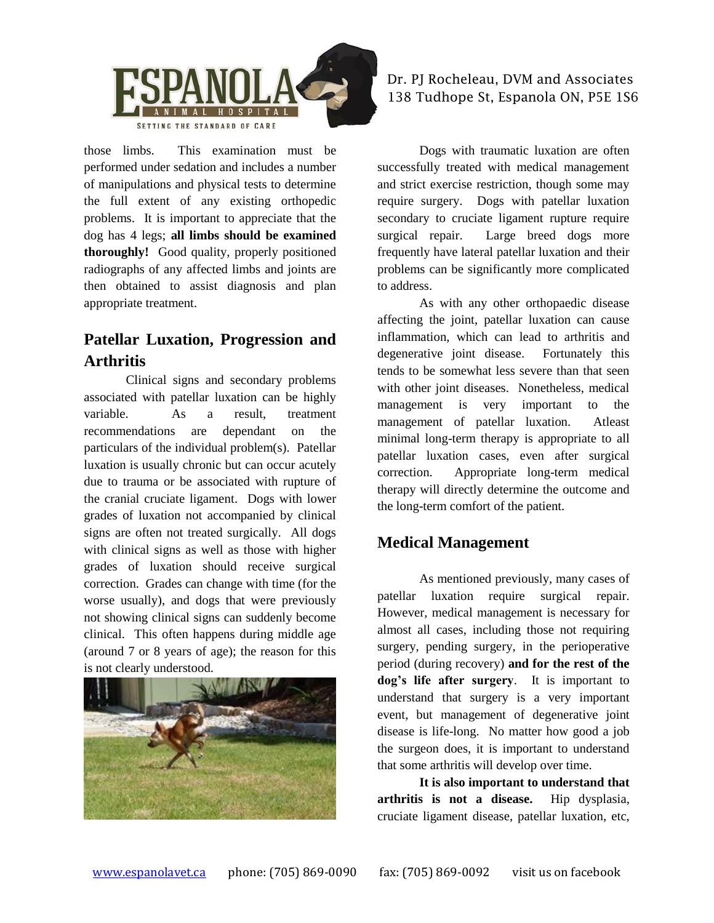

those limbs. This examination must be performed under sedation and includes a number of manipulations and physical tests to determine the full extent of any existing orthopedic problems. It is important to appreciate that the dog has 4 legs; **all limbs should be examined thoroughly!** Good quality, properly positioned radiographs of any affected limbs and joints are then obtained to assist diagnosis and plan appropriate treatment.

### **Patellar Luxation, Progression and Arthritis**

Clinical signs and secondary problems associated with patellar luxation can be highly variable. As a result, treatment recommendations are dependant on the particulars of the individual problem(s). Patellar luxation is usually chronic but can occur acutely due to trauma or be associated with rupture of the cranial cruciate ligament. Dogs with lower grades of luxation not accompanied by clinical signs are often not treated surgically. All dogs with clinical signs as well as those with higher grades of luxation should receive surgical correction. Grades can change with time (for the worse usually), and dogs that were previously not showing clinical signs can suddenly become clinical. This often happens during middle age (around 7 or 8 years of age); the reason for this is not clearly understood.



#### Dr. PJ Rocheleau, DVM and Associates 138 Tudhope St, Espanola ON, P5E 1S6

Dogs with traumatic luxation are often successfully treated with medical management and strict exercise restriction, though some may require surgery. Dogs with patellar luxation secondary to cruciate ligament rupture require surgical repair. Large breed dogs more frequently have lateral patellar luxation and their problems can be significantly more complicated to address.

As with any other orthopaedic disease affecting the joint, patellar luxation can cause inflammation, which can lead to arthritis and degenerative joint disease. Fortunately this tends to be somewhat less severe than that seen with other joint diseases. Nonetheless, medical management is very important to the management of patellar luxation. Atleast minimal long-term therapy is appropriate to all patellar luxation cases, even after surgical correction. Appropriate long-term medical therapy will directly determine the outcome and the long-term comfort of the patient.

### **Medical Management**

As mentioned previously, many cases of patellar luxation require surgical repair. However, medical management is necessary for almost all cases, including those not requiring surgery, pending surgery, in the perioperative period (during recovery) **and for the rest of the dog's life after surgery**. It is important to understand that surgery is a very important event, but management of degenerative joint disease is life-long. No matter how good a job the surgeon does, it is important to understand that some arthritis will develop over time.

**It is also important to understand that arthritis is not a disease.** Hip dysplasia, cruciate ligament disease, patellar luxation, etc,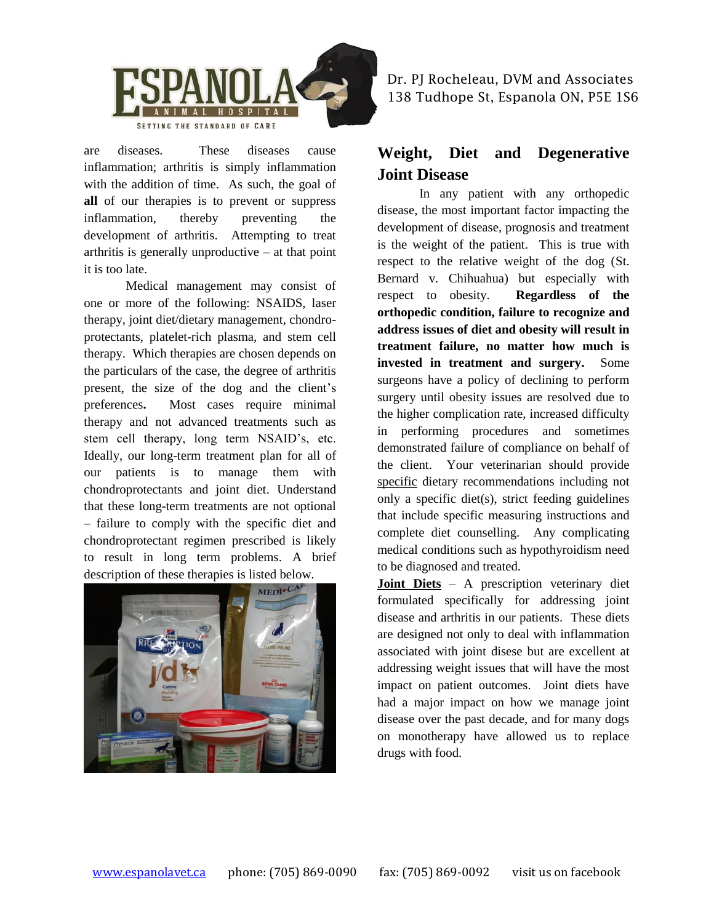

are diseases. These diseases cause inflammation; arthritis is simply inflammation with the addition of time. As such, the goal of **all** of our therapies is to prevent or suppress inflammation, thereby preventing the development of arthritis. Attempting to treat arthritis is generally unproductive – at that point it is too late.

Medical management may consist of one or more of the following: NSAIDS, laser therapy, joint diet/dietary management, chondroprotectants, platelet-rich plasma, and stem cell therapy. Which therapies are chosen depends on the particulars of the case, the degree of arthritis present, the size of the dog and the client's preferences**.** Most cases require minimal therapy and not advanced treatments such as stem cell therapy, long term NSAID's, etc. Ideally, our long-term treatment plan for all of our patients is to manage them with chondroprotectants and joint diet. Understand that these long-term treatments are not optional – failure to comply with the specific diet and chondroprotectant regimen prescribed is likely to result in long term problems. A brief description of these therapies is listed below.



Dr. PJ Rocheleau, DVM and Associates 138 Tudhope St, Espanola ON, P5E 1S6

### **Weight, Diet and Degenerative Joint Disease**

In any patient with any orthopedic disease, the most important factor impacting the development of disease, prognosis and treatment is the weight of the patient. This is true with respect to the relative weight of the dog (St. Bernard v. Chihuahua) but especially with respect to obesity. **Regardless of the orthopedic condition, failure to recognize and address issues of diet and obesity will result in treatment failure, no matter how much is invested in treatment and surgery.** Some surgeons have a policy of declining to perform surgery until obesity issues are resolved due to the higher complication rate, increased difficulty in performing procedures and sometimes demonstrated failure of compliance on behalf of the client. Your veterinarian should provide specific dietary recommendations including not only a specific diet(s), strict feeding guidelines that include specific measuring instructions and complete diet counselling. Any complicating medical conditions such as hypothyroidism need to be diagnosed and treated.

**Joint Diets** – A prescription veterinary diet formulated specifically for addressing joint disease and arthritis in our patients. These diets are designed not only to deal with inflammation associated with joint disese but are excellent at addressing weight issues that will have the most impact on patient outcomes. Joint diets have had a major impact on how we manage joint disease over the past decade, and for many dogs on monotherapy have allowed us to replace drugs with food.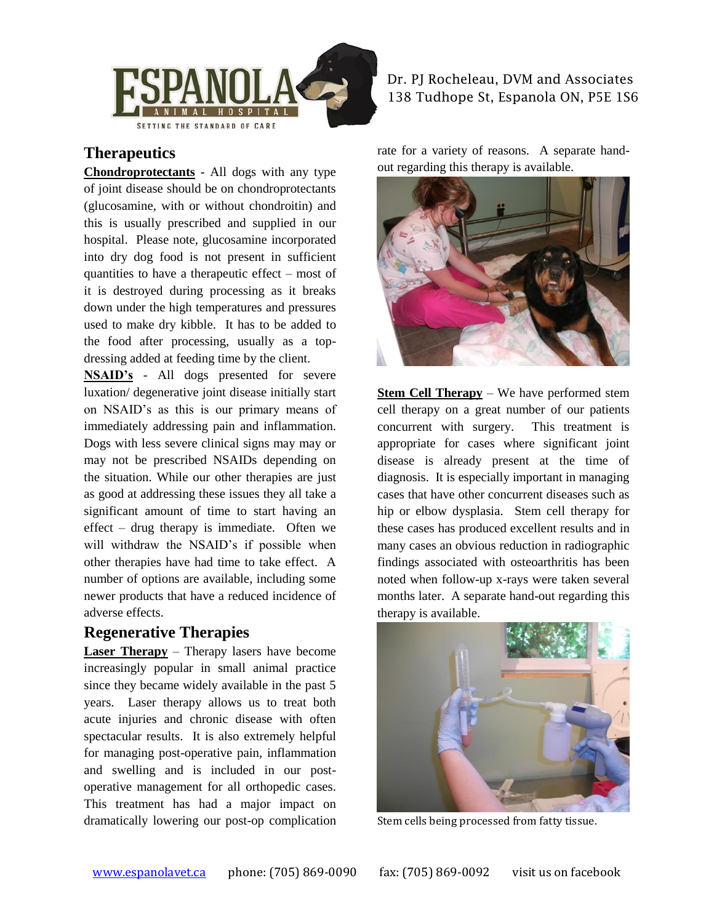

### **Therapeutics**

**Chondroprotectants** - All dogs with any type of joint disease should be on chondroprotectants (glucosamine, with or without chondroitin) and this is usually prescribed and supplied in our hospital. Please note, glucosamine incorporated into dry dog food is not present in sufficient quantities to have a therapeutic effect – most of it is destroyed during processing as it breaks down under the high temperatures and pressures used to make dry kibble. It has to be added to the food after processing, usually as a topdressing added at feeding time by the client.

**NSAID's** - All dogs presented for severe luxation/ degenerative joint disease initially start on NSAID's as this is our primary means of immediately addressing pain and inflammation. Dogs with less severe clinical signs may may or may not be prescribed NSAIDs depending on the situation. While our other therapies are just as good at addressing these issues they all take a significant amount of time to start having an effect – drug therapy is immediate. Often we will withdraw the NSAID's if possible when other therapies have had time to take effect. A number of options are available, including some newer products that have a reduced incidence of adverse effects.

#### **Regenerative Therapies**

**Laser Therapy** – Therapy lasers have become increasingly popular in small animal practice since they became widely available in the past 5 years. Laser therapy allows us to treat both acute injuries and chronic disease with often spectacular results. It is also extremely helpful for managing post-operative pain, inflammation and swelling and is included in our postoperative management for all orthopedic cases. This treatment has had a major impact on dramatically lowering our post-op complication

#### Dr. PJ Rocheleau, DVM and Associates 138 Tudhope St, Espanola ON, P5E 1S6

rate for a variety of reasons. A separate handout regarding this therapy is available.



**Stem Cell Therapy** – We have performed stem cell therapy on a great number of our patients concurrent with surgery. This treatment is appropriate for cases where significant joint disease is already present at the time of diagnosis. It is especially important in managing cases that have other concurrent diseases such as hip or elbow dysplasia. Stem cell therapy for these cases has produced excellent results and in many cases an obvious reduction in radiographic findings associated with osteoarthritis has been noted when follow-up x-rays were taken several months later. A separate hand-out regarding this therapy is available.



Stem cells being processed from fatty tissue.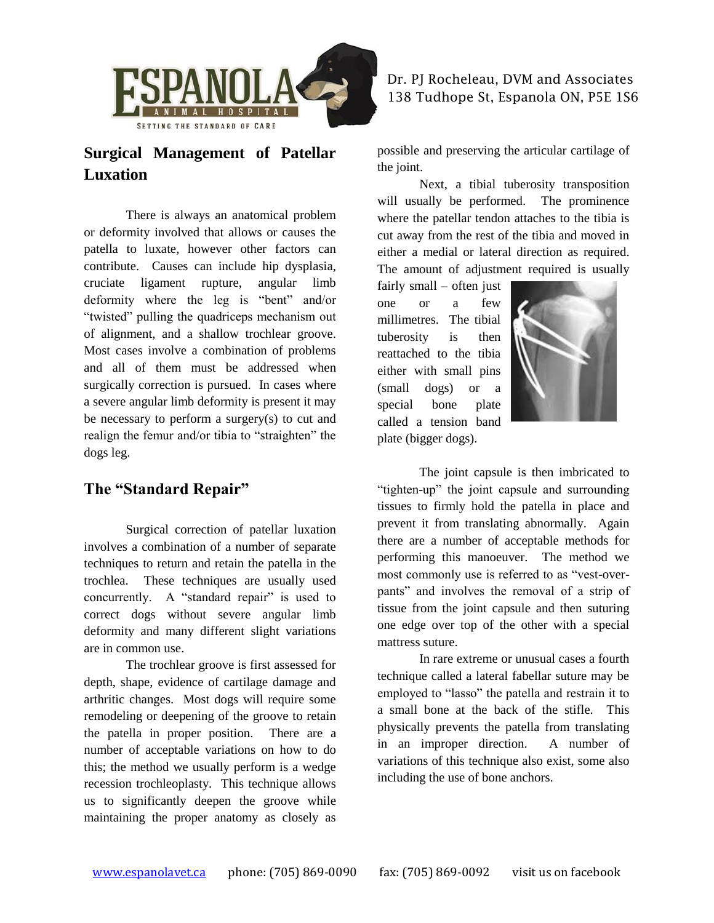

### **Surgical Management of Patellar Luxation**

There is always an anatomical problem or deformity involved that allows or causes the patella to luxate, however other factors can contribute. Causes can include hip dysplasia, cruciate ligament rupture, angular limb deformity where the leg is "bent" and/or "twisted" pulling the quadriceps mechanism out of alignment, and a shallow trochlear groove. Most cases involve a combination of problems and all of them must be addressed when surgically correction is pursued. In cases where a severe angular limb deformity is present it may be necessary to perform a surgery $(s)$  to cut and realign the femur and/or tibia to "straighten" the dogs leg.

### **The "Standard Repair"**

Surgical correction of patellar luxation involves a combination of a number of separate techniques to return and retain the patella in the trochlea. These techniques are usually used concurrently. A "standard repair" is used to correct dogs without severe angular limb deformity and many different slight variations are in common use.

The trochlear groove is first assessed for depth, shape, evidence of cartilage damage and arthritic changes. Most dogs will require some remodeling or deepening of the groove to retain the patella in proper position. There are a number of acceptable variations on how to do this; the method we usually perform is a wedge recession trochleoplasty. This technique allows us to significantly deepen the groove while maintaining the proper anatomy as closely as

#### Dr. PJ Rocheleau, DVM and Associates 138 Tudhope St, Espanola ON, P5E 1S6

possible and preserving the articular cartilage of the joint.

Next, a tibial tuberosity transposition will usually be performed. The prominence where the patellar tendon attaches to the tibia is cut away from the rest of the tibia and moved in either a medial or lateral direction as required. The amount of adjustment required is usually

fairly small – often just one or a few millimetres. The tibial tuberosity is then reattached to the tibia either with small pins (small dogs) or a special bone plate called a tension band plate (bigger dogs).



The joint capsule is then imbricated to "tighten-up" the joint capsule and surrounding tissues to firmly hold the patella in place and prevent it from translating abnormally. Again there are a number of acceptable methods for performing this manoeuver. The method we most commonly use is referred to as "vest-overpants" and involves the removal of a strip of tissue from the joint capsule and then suturing one edge over top of the other with a special mattress suture.

In rare extreme or unusual cases a fourth technique called a lateral fabellar suture may be employed to "lasso" the patella and restrain it to a small bone at the back of the stifle. This physically prevents the patella from translating in an improper direction. A number of variations of this technique also exist, some also including the use of bone anchors.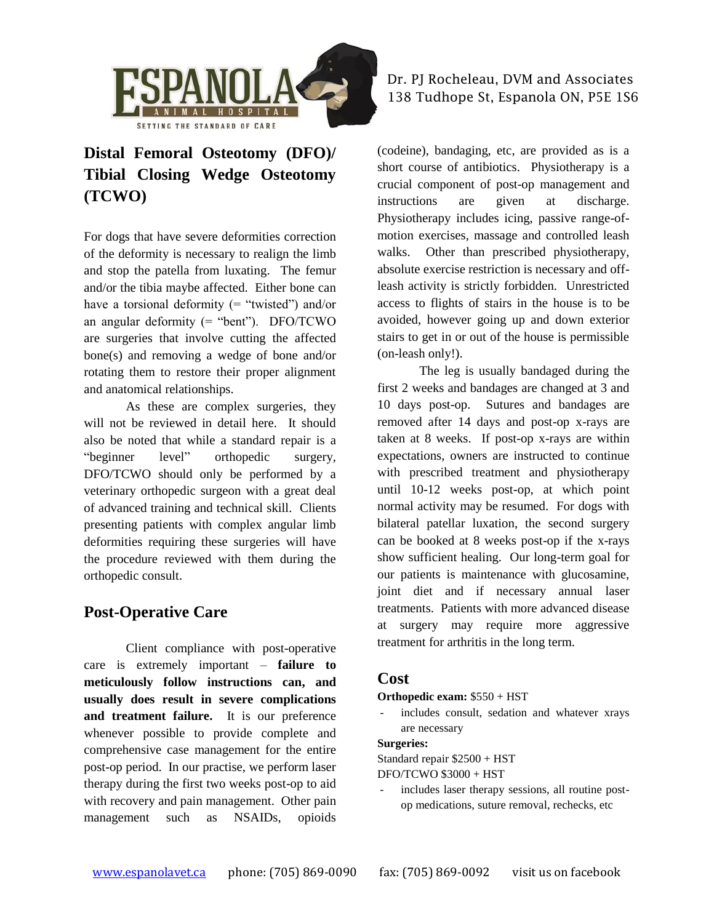

## **Distal Femoral Osteotomy (DFO)/ Tibial Closing Wedge Osteotomy (TCWO)**

For dogs that have severe deformities correction of the deformity is necessary to realign the limb and stop the patella from luxating. The femur and/or the tibia maybe affected. Either bone can have a torsional deformity  $($  = "twisted") and/or an angular deformity (= "bent"). DFO/TCWO are surgeries that involve cutting the affected bone(s) and removing a wedge of bone and/or rotating them to restore their proper alignment and anatomical relationships.

As these are complex surgeries, they will not be reviewed in detail here. It should also be noted that while a standard repair is a "beginner level" orthopedic surgery, DFO/TCWO should only be performed by a veterinary orthopedic surgeon with a great deal of advanced training and technical skill. Clients presenting patients with complex angular limb deformities requiring these surgeries will have the procedure reviewed with them during the orthopedic consult.

### **Post-Operative Care**

Client compliance with post-operative care is extremely important – **failure to meticulously follow instructions can, and usually does result in severe complications and treatment failure.** It is our preference whenever possible to provide complete and comprehensive case management for the entire post-op period. In our practise, we perform laser therapy during the first two weeks post-op to aid with recovery and pain management. Other pain management such as NSAIDs, opioids

#### Dr. PJ Rocheleau, DVM and Associates 138 Tudhope St, Espanola ON, P5E 1S6

(codeine), bandaging, etc, are provided as is a short course of antibiotics. Physiotherapy is a crucial component of post-op management and instructions are given at discharge. Physiotherapy includes icing, passive range-ofmotion exercises, massage and controlled leash walks. Other than prescribed physiotherapy, absolute exercise restriction is necessary and offleash activity is strictly forbidden. Unrestricted access to flights of stairs in the house is to be avoided, however going up and down exterior stairs to get in or out of the house is permissible (on-leash only!).

The leg is usually bandaged during the first 2 weeks and bandages are changed at 3 and 10 days post-op. Sutures and bandages are removed after 14 days and post-op x-rays are taken at 8 weeks. If post-op x-rays are within expectations, owners are instructed to continue with prescribed treatment and physiotherapy until 10-12 weeks post-op, at which point normal activity may be resumed. For dogs with bilateral patellar luxation, the second surgery can be booked at 8 weeks post-op if the x-rays show sufficient healing. Our long-term goal for our patients is maintenance with glucosamine, joint diet and if necessary annual laser treatments. Patients with more advanced disease at surgery may require more aggressive treatment for arthritis in the long term.

#### **Cost**

**Orthopedic exam:** \$550 + HST

includes consult, sedation and whatever xrays are necessary

#### **Surgeries:**

Standard repair \$2500 + HST

DFO/TCWO \$3000 + HST

includes laser therapy sessions, all routine postop medications, suture removal, rechecks, etc